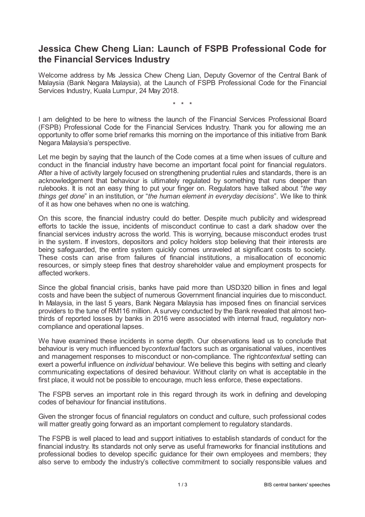## **Jessica Chew Cheng Lian: Launch of FSPB Professional Code for the Financial Services Industry**

Welcome address by Ms Jessica Chew Cheng Lian, Deputy Governor of the Central Bank of Malaysia (Bank Negara Malaysia), at the Launch of FSPB Professional Code for the Financial Services Industry, Kuala Lumpur, 24 May 2018.

\* \* \*

I am delighted to be here to witness the launch of the Financial Services Professional Board (FSPB) Professional Code for the Financial Services Industry. Thank you for allowing me an opportunity to offer some brief remarks this morning on the importance of this initiative from Bank Negara Malaysia's perspective.

Let me begin by saying that the launch of the Code comes at a time when issues of culture and conduct in the financial industry have become an important focal point for financial regulators. After a hive of activity largely focused on strengthening prudential rules and standards, there is an acknowledgement that behaviour is ultimately regulated by something that runs deeper than rulebooks. It is not an easy thing to put your finger on. Regulators have talked about "*the way things get done*" in an institution, or "*the human element in everyday decisions*". We like to think of it as how one behaves when no one is watching.

On this score, the financial industry could do better. Despite much publicity and widespread efforts to tackle the issue, incidents of misconduct continue to cast a dark shadow over the financial services industry across the world. This is worrying, because misconduct erodes trust in the system. If investors, depositors and policy holders stop believing that their interests are being safeguarded, the entire system quickly comes unraveled at significant costs to society. These costs can arise from failures of financial institutions, a misallocation of economic resources, or simply steep fines that destroy shareholder value and employment prospects for affected workers.

Since the global financial crisis, banks have paid more than USD320 billion in fines and legal costs and have been the subject of numerous Government financial inquiries due to misconduct. In Malaysia, in the last 5 years, Bank Negara Malaysia has imposed fines on financial services providers to the tune of RM116 million. A survey conducted by the Bank revealed that almost twothirds of reported losses by banks in 2016 were associated with internal fraud, regulatory noncompliance and operational lapses.

We have examined these incidents in some depth. Our observations lead us to conclude that behaviour is very much influenced by*contextual* factors such as organisational values, incentives and management responses to misconduct or non-compliance. The right*contextual* setting can exert a powerful influence on *individual* behaviour. We believe this begins with setting and clearly communicating expectations of desired behaviour. Without clarity on what is acceptable in the first place, it would not be possible to encourage, much less enforce, these expectations.

The FSPB serves an important role in this regard through its work in defining and developing codes of behaviour for financial institutions.

Given the stronger focus of financial regulators on conduct and culture, such professional codes will matter greatly going forward as an important complement to regulatory standards.

The FSPB is well placed to lead and support initiatives to establish standards of conduct for the financial industry. Its standards not only serve as useful frameworks for financial institutions and professional bodies to develop specific guidance for their own employees and members; they also serve to embody the industry's collective commitment to socially responsible values and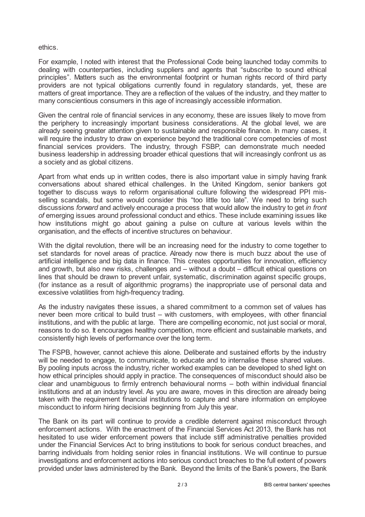ethics.

For example, I noted with interest that the Professional Code being launched today commits to dealing with counterparties, including suppliers and agents that "subscribe to sound ethical principles". Matters such as the environmental footprint or human rights record of third party providers are not typical obligations currently found in regulatory standards, yet, these are matters of great importance. They are a reflection of the values of the industry, and they matter to many conscientious consumers in this age of increasingly accessible information.

Given the central role of financial services in any economy, these are issues likely to move from the periphery to increasingly important business considerations. At the global level, we are already seeing greater attention given to sustainable and responsible finance. In many cases, it will require the industry to draw on experience beyond the traditional core competencies of most financial services providers. The industry, through FSBP, can demonstrate much needed business leadership in addressing broader ethical questions that will increasingly confront us as a society and as global citizens.

Apart from what ends up in written codes, there is also important value in simply having frank conversations about shared ethical challenges. In the United Kingdom, senior bankers got together to discuss ways to reform organisational culture following the widespread PPI misselling scandals, but some would consider this "too little too late". We need to bring such discussions *forward* and actively encourage a process that would allow the industry to get *in front of* emerging issues around professional conduct and ethics. These include examining issues like how institutions might go about gaining a pulse on culture at various levels within the organisation, and the effects of incentive structures on behaviour.

With the digital revolution, there will be an increasing need for the industry to come together to set standards for novel areas of practice. Already now there is much buzz about the use of artificial intelligence and big data in finance. This creates opportunities for innovation, efficiency and growth, but also new risks, challenges and – without a doubt – difficult ethical questions on lines that should be drawn to prevent unfair, systematic, discrimination against specific groups, (for instance as a result of algorithmic programs) the inappropriate use of personal data and excessive volatilities from high-frequency trading.

As the industry navigates these issues, a shared commitment to a common set of values has never been more critical to build trust – with customers, with employees, with other financial institutions, and with the public at large. There are compelling economic, not just social or moral, reasons to do so. It encourages healthy competition, more efficient and sustainable markets, and consistently high levels of performance over the long term.

The FSPB, however, cannot achieve this alone. Deliberate and sustained efforts by the industry will be needed to engage, to communicate, to educate and to internalise these shared values. By pooling inputs across the industry, richer worked examples can be developed to shed light on how ethical principles should apply in practice. The consequences of misconduct should also be clear and unambiguous to firmly entrench behavioural norms – both within individual financial institutions and at an industry level. As you are aware, moves in this direction are already being taken with the requirement financial institutions to capture and share information on employee misconduct to inform hiring decisions beginning from July this year.

The Bank on its part will continue to provide a credible deterrent against misconduct through enforcement actions. With the enactment of the Financial Services Act 2013, the Bank has not hesitated to use wider enforcement powers that include stiff administrative penalties provided under the Financial Services Act to bring institutions to book for serious conduct breaches, and barring individuals from holding senior roles in financial institutions. We will continue to pursue investigations and enforcement actions into serious conduct breaches to the full extent of powers provided under laws administered by the Bank. Beyond the limits of the Bank's powers, the Bank